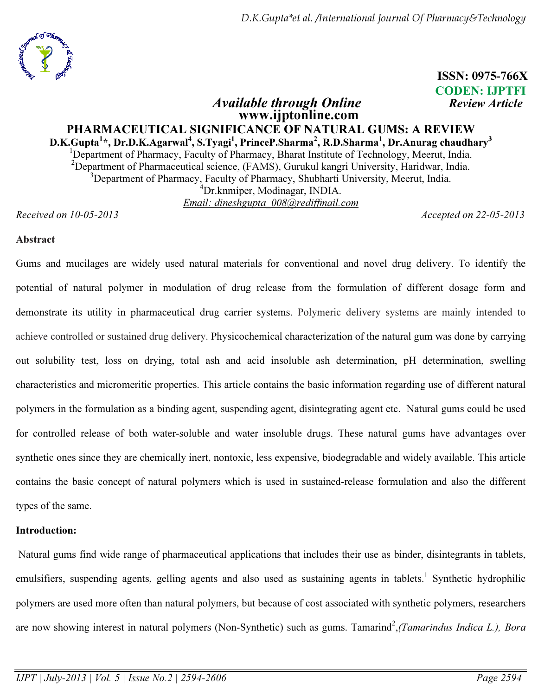

# ISSN: 0975-766X CODEN: IJPTFI

# Available through Online **Review Article**  www.ijptonline.com PHARMACEUTICAL SIGNIFICANCE OF NATURAL GUMS: A REVIEW D.K.Gupta<sup>1</sup>\*, Dr.D.K.Agarwal<sup>4</sup>, S.Tyagi<sup>1</sup>, PrinceP.Sharma<sup>2</sup>, R.D.Sharma<sup>1</sup>, Dr.Anurag chaudhary<sup>3</sup> <sup>1</sup>Department of Pharmacy, Faculty of Pharmacy, Bharat Institute of Technology, Meerut, India. <sup>2</sup>Department of Pharmaceutical science, (FAMS), Gurukul kangri University, Haridwar, India.  $3D$ epartment of Pharmacy, Faculty of Pharmacy, Shubharti University, Meerut, India. <sup>4</sup>Dr.knmiper, Modinagar, INDIA. *Email: dineshgupta\_008@rediffmail.com*

*Received on 10-05-2013 Accepted on 22-05-2013*

### Abstract

Gums and mucilages are widely used natural materials for conventional and novel drug delivery. To identify the potential of natural polymer in modulation of drug release from the formulation of different dosage form and demonstrate its utility in pharmaceutical drug carrier systems. Polymeric delivery systems are mainly intended to achieve controlled or sustained drug delivery. Physicochemical characterization of the natural gum was done by carrying out solubility test, loss on drying, total ash and acid insoluble ash determination, pH determination, swelling characteristics and micromeritic properties. This article contains the basic information regarding use of different natural polymers in the formulation as a binding agent, suspending agent, disintegrating agent etc. Natural gums could be used for controlled release of both water-soluble and water insoluble drugs. These natural gums have advantages over synthetic ones since they are chemically inert, nontoxic, less expensive, biodegradable and widely available. This article contains the basic concept of natural polymers which is used in sustained-release formulation and also the different types of the same.

# Introduction:

 Natural gums find wide range of pharmaceutical applications that includes their use as binder, disintegrants in tablets, emulsifiers, suspending agents, gelling agents and also used as sustaining agents in tablets.<sup>1</sup> Synthetic hydrophilic polymers are used more often than natural polymers, but because of cost associated with synthetic polymers, researchers are now showing interest in natural polymers (Non-Synthetic) such as gums. Tamarind<sup>2</sup>, (Tamarindus Indica L.), Bora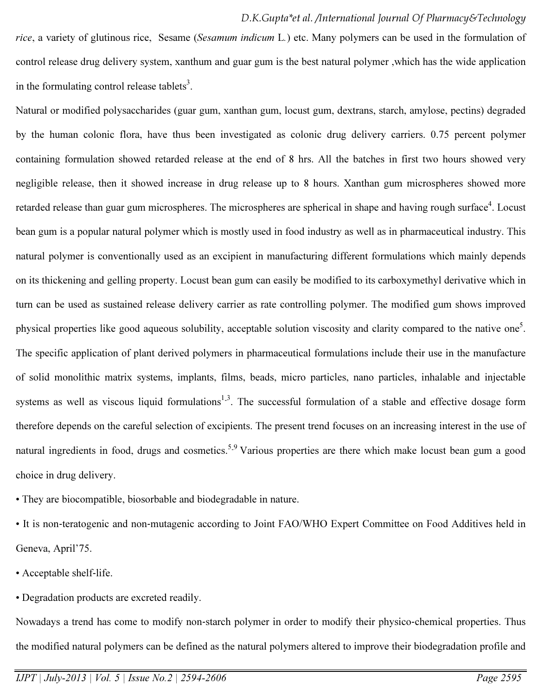*rice*, a variety of glutinous rice, Sesame (*Sesamum indicum* L*.*) etc. Many polymers can be used in the formulation of control release drug delivery system, xanthum and guar gum is the best natural polymer ,which has the wide application in the formulating control release tablets<sup>3</sup>.

Natural or modified polysaccharides (guar gum, xanthan gum, locust gum, dextrans, starch, amylose, pectins) degraded by the human colonic flora, have thus been investigated as colonic drug delivery carriers. 0.75 percent polymer containing formulation showed retarded release at the end of 8 hrs. All the batches in first two hours showed very negligible release, then it showed increase in drug release up to 8 hours. Xanthan gum microspheres showed more retarded release than guar gum microspheres. The microspheres are spherical in shape and having rough surface<sup>4</sup>. Locust bean gum is a popular natural polymer which is mostly used in food industry as well as in pharmaceutical industry. This natural polymer is conventionally used as an excipient in manufacturing different formulations which mainly depends on its thickening and gelling property. Locust bean gum can easily be modified to its carboxymethyl derivative which in turn can be used as sustained release delivery carrier as rate controlling polymer. The modified gum shows improved physical properties like good aqueous solubility, acceptable solution viscosity and clarity compared to the native one<sup>5</sup>. The specific application of plant derived polymers in pharmaceutical formulations include their use in the manufacture of solid monolithic matrix systems, implants, films, beads, micro particles, nano particles, inhalable and injectable systems as well as viscous liquid formulations<sup>1,3</sup>. The successful formulation of a stable and effective dosage form therefore depends on the careful selection of excipients. The present trend focuses on an increasing interest in the use of natural ingredients in food, drugs and cosmetics.<sup>5.9</sup> Various properties are there which make locust bean gum a good choice in drug delivery.

• They are biocompatible, biosorbable and biodegradable in nature.

• It is non-teratogenic and non-mutagenic according to Joint FAO/WHO Expert Committee on Food Additives held in Geneva, April'75.

• Acceptable shelf‐life.

• Degradation products are excreted readily.

Nowadays a trend has come to modify non‐starch polymer in order to modify their physico‐chemical properties. Thus the modified natural polymers can be defined as the natural polymers altered to improve their biodegradation profile and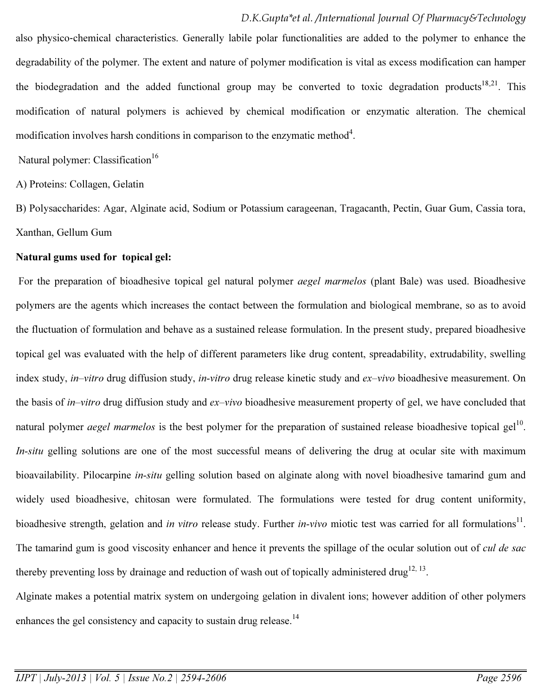also physico‐chemical characteristics. Generally labile polar functionalities are added to the polymer to enhance the degradability of the polymer. The extent and nature of polymer modification is vital as excess modification can hamper the biodegradation and the added functional group may be converted to toxic degradation products<sup>18</sup>.<sup>21</sup>. This modification of natural polymers is achieved by chemical modification or enzymatic alteration. The chemical modification involves harsh conditions in comparison to the enzymatic method<sup>4</sup>.

Natural polymer: Classification<sup>16</sup>

A) Proteins: Collagen, Gelatin

B) Polysaccharides: Agar, Alginate acid, Sodium or Potassium carageenan, Tragacanth, Pectin, Guar Gum, Cassia tora, Xanthan, Gellum Gum

### Natural gums used for topical gel:

 For the preparation of bioadhesive topical gel natural polymer *aegel marmelos* (plant Bale) was used. Bioadhesive polymers are the agents which increases the contact between the formulation and biological membrane, so as to avoid the fluctuation of formulation and behave as a sustained release formulation. In the present study, prepared bioadhesive topical gel was evaluated with the help of different parameters like drug content, spreadability, extrudability, swelling index study, *in–vitro* drug diffusion study, *in-vitro* drug release kinetic study and *ex–vivo* bioadhesive measurement. On the basis of *in–vitro* drug diffusion study and *ex–vivo* bioadhesive measurement property of gel, we have concluded that natural polymer *aegel marmelos* is the best polymer for the preparation of sustained release bioadhesive topical gel<sup>10</sup>. *In-situ* gelling solutions are one of the most successful means of delivering the drug at ocular site with maximum bioavailability. Pilocarpine *in-situ* gelling solution based on alginate along with novel bioadhesive tamarind gum and widely used bioadhesive, chitosan were formulated. The formulations were tested for drug content uniformity, bioadhesive strength, gelation and *in vitro* release study. Further *in-vivo* miotic test was carried for all formulations<sup>11</sup>. The tamarind gum is good viscosity enhancer and hence it prevents the spillage of the ocular solution out of *cul de sac*  thereby preventing loss by drainage and reduction of wash out of topically administered drug<sup>12, 13</sup>.

Alginate makes a potential matrix system on undergoing gelation in divalent ions; however addition of other polymers enhances the gel consistency and capacity to sustain drug release.<sup>14</sup>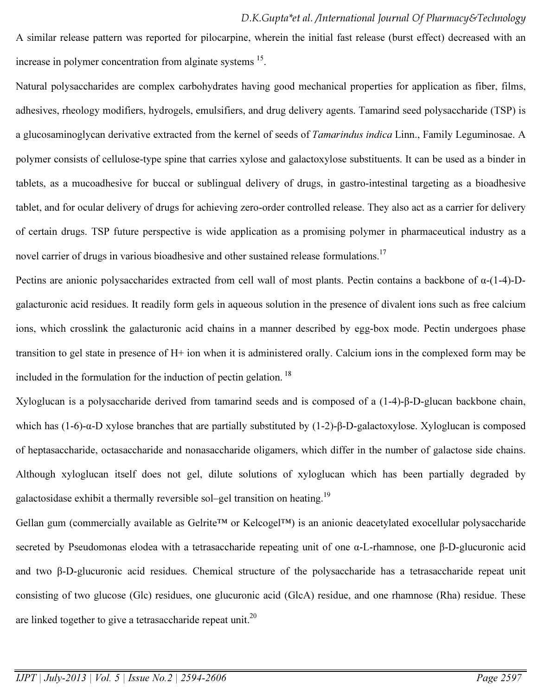A similar release pattern was reported for pilocarpine, wherein the initial fast release (burst effect) decreased with an increase in polymer concentration from alginate systems <sup>15</sup>.

Natural polysaccharides are complex carbohydrates having good mechanical properties for application as fiber, films, adhesives, rheology modifiers, hydrogels, emulsifiers, and drug delivery agents. Tamarind seed polysaccharide (TSP) is a glucosaminoglycan derivative extracted from the kernel of seeds of *Tamarindus indica* Linn., Family Leguminosae. A polymer consists of cellulose-type spine that carries xylose and galactoxylose substituents. It can be used as a binder in tablets, as a mucoadhesive for buccal or sublingual delivery of drugs, in gastro-intestinal targeting as a bioadhesive tablet, and for ocular delivery of drugs for achieving zero-order controlled release. They also act as a carrier for delivery of certain drugs. TSP future perspective is wide application as a promising polymer in pharmaceutical industry as a novel carrier of drugs in various bioadhesive and other sustained release formulations.<sup>17</sup>

Pectins are anionic polysaccharides extracted from cell wall of most plants. Pectin contains a backbone of α-(1-4)-Dgalacturonic acid residues. It readily form gels in aqueous solution in the presence of divalent ions such as free calcium ions, which crosslink the galacturonic acid chains in a manner described by egg-box mode. Pectin undergoes phase transition to gel state in presence of H+ ion when it is administered orally. Calcium ions in the complexed form may be included in the formulation for the induction of pectin gelation.<sup>18</sup>

Xyloglucan is a polysaccharide derived from tamarind seeds and is composed of a (1-4)-β-D-glucan backbone chain, which has (1-6)-α-D xylose branches that are partially substituted by (1-2)-β-D-galactoxylose. Xyloglucan is composed of heptasaccharide, octasaccharide and nonasaccharide oligamers, which differ in the number of galactose side chains. Although xyloglucan itself does not gel, dilute solutions of xyloglucan which has been partially degraded by galactosidase exhibit a thermally reversible sol–gel transition on heating.<sup>19</sup>

Gellan gum (commercially available as Gelrite™ or Kelcogel™) is an anionic deacetylated exocellular polysaccharide secreted by Pseudomonas elodea with a tetrasaccharide repeating unit of one α-L-rhamnose, one β-D-glucuronic acid and two β-D-glucuronic acid residues. Chemical structure of the polysaccharide has a tetrasaccharide repeat unit consisting of two glucose (Glc) residues, one glucuronic acid (GlcA) residue, and one rhamnose (Rha) residue. These are linked together to give a tetrasaccharide repeat unit.<sup>20</sup>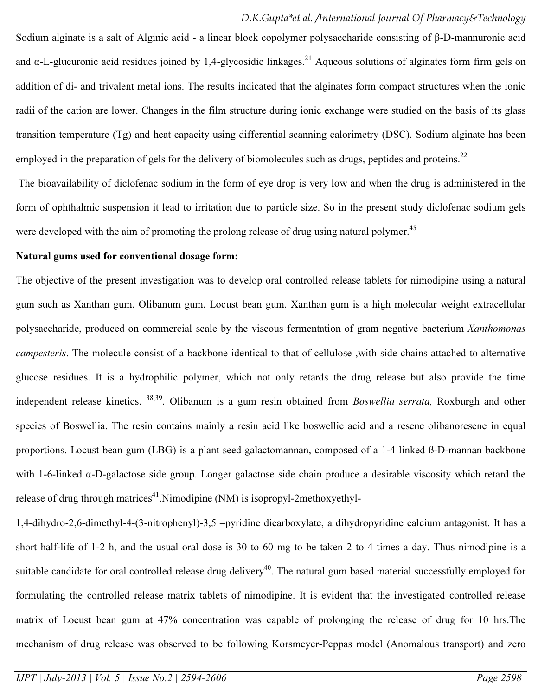Sodium alginate is a salt of Alginic acid - a linear block copolymer polysaccharide consisting of β-D-mannuronic acid and  $\alpha$ -L-glucuronic acid residues joined by 1,4-glycosidic linkages.<sup>21</sup> Aqueous solutions of alginates form firm gels on addition of di- and trivalent metal ions. The results indicated that the alginates form compact structures when the ionic radii of the cation are lower. Changes in the film structure during ionic exchange were studied on the basis of its glass transition temperature (Tg) and heat capacity using differential scanning calorimetry (DSC). Sodium alginate has been employed in the preparation of gels for the delivery of biomolecules such as drugs, peptides and proteins.<sup>22</sup> The bioavailability of diclofenac sodium in the form of eye drop is very low and when the drug is administered in the

form of ophthalmic suspension it lead to irritation due to particle size. So in the present study diclofenac sodium gels were developed with the aim of promoting the prolong release of drug using natural polymer.<sup>45</sup>

#### Natural gums used for conventional dosage form:

The objective of the present investigation was to develop oral controlled release tablets for nimodipine using a natural gum such as Xanthan gum, Olibanum gum, Locust bean gum. Xanthan gum is a high molecular weight extracellular polysaccharide, produced on commercial scale by the viscous fermentation of gram negative bacterium *Xanthomonas campesteris*. The molecule consist of a backbone identical to that of cellulose ,with side chains attached to alternative glucose residues. It is a hydrophilic polymer, which not only retards the drug release but also provide the time independent release kinetics. 38,39. Olibanum is a gum resin obtained from *Boswellia serrata,* Roxburgh and other species of Boswellia. The resin contains mainly a resin acid like boswellic acid and a resene olibanoresene in equal proportions. Locust bean gum (LBG) is a plant seed galactomannan, composed of a 1-4 linked ß-D-mannan backbone with 1-6-linked α-D-galactose side group. Longer galactose side chain produce a desirable viscosity which retard the release of drug through matrices<sup>41</sup>. Nimodipine (NM) is isopropyl-2methoxyethyl-

1,4-dihydro-2,6-dimethyl-4-(3-nitrophenyl)-3,5 –pyridine dicarboxylate, a dihydropyridine calcium antagonist. It has a short half-life of 1-2 h, and the usual oral dose is 30 to 60 mg to be taken 2 to 4 times a day. Thus nimodipine is a suitable candidate for oral controlled release drug delivery<sup>40</sup>. The natural gum based material successfully employed for formulating the controlled release matrix tablets of nimodipine. It is evident that the investigated controlled release matrix of Locust bean gum at 47% concentration was capable of prolonging the release of drug for 10 hrs.The mechanism of drug release was observed to be following Korsmeyer-Peppas model (Anomalous transport) and zero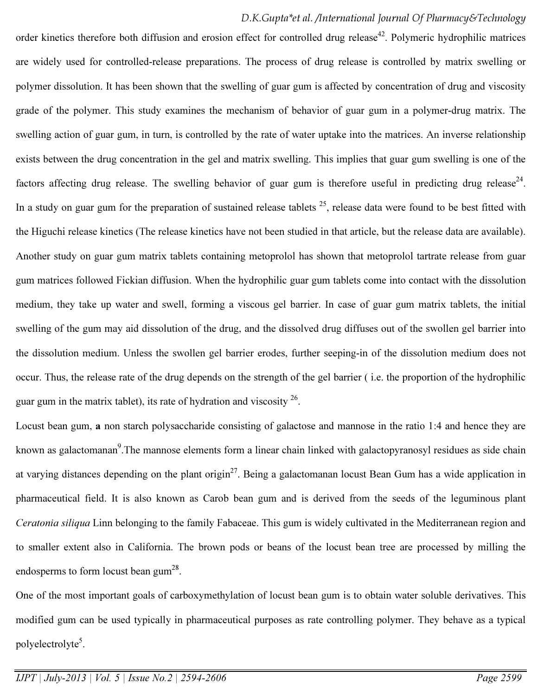order kinetics therefore both diffusion and erosion effect for controlled drug release<sup>42</sup>. Polymeric hydrophilic matrices are widely used for controlled-release preparations. The process of drug release is controlled by matrix swelling or polymer dissolution. It has been shown that the swelling of guar gum is affected by concentration of drug and viscosity grade of the polymer. This study examines the mechanism of behavior of guar gum in a polymer-drug matrix. The swelling action of guar gum, in turn, is controlled by the rate of water uptake into the matrices. An inverse relationship exists between the drug concentration in the gel and matrix swelling. This implies that guar gum swelling is one of the factors affecting drug release. The swelling behavior of guar gum is therefore useful in predicting drug release<sup>24</sup>. In a study on guar gum for the preparation of sustained release tablets  $^{25}$ , release data were found to be best fitted with the Higuchi release kinetics (The release kinetics have not been studied in that article, but the release data are available). Another study on guar gum matrix tablets containing metoprolol has shown that metoprolol tartrate release from guar gum matrices followed Fickian diffusion. When the hydrophilic guar gum tablets come into contact with the dissolution medium, they take up water and swell, forming a viscous gel barrier. In case of guar gum matrix tablets, the initial swelling of the gum may aid dissolution of the drug, and the dissolved drug diffuses out of the swollen gel barrier into the dissolution medium. Unless the swollen gel barrier erodes, further seeping-in of the dissolution medium does not occur. Thus, the release rate of the drug depends on the strength of the gel barrier ( i.e. the proportion of the hydrophilic guar gum in the matrix tablet), its rate of hydration and viscosity  $2^6$ .

Locust bean gum, a non starch polysaccharide consisting of galactose and mannose in the ratio 1:4 and hence they are known as galactomanan<sup>9</sup>. The mannose elements form a linear chain linked with galactopyranosyl residues as side chain at varying distances depending on the plant origin<sup>27</sup>. Being a galactomanan locust Bean Gum has a wide application in pharmaceutical field. It is also known as Carob bean gum and is derived from the seeds of the leguminous plant *Ceratonia siliqua* Linn belonging to the family Fabaceae. This gum is widely cultivated in the Mediterranean region and to smaller extent also in California. The brown pods or beans of the locust bean tree are processed by milling the endosperms to form locust bean gum<sup>28</sup>.

One of the most important goals of carboxymethylation of locust bean gum is to obtain water soluble derivatives. This modified gum can be used typically in pharmaceutical purposes as rate controlling polymer. They behave as a typical polyelectrolyte<sup>5</sup>.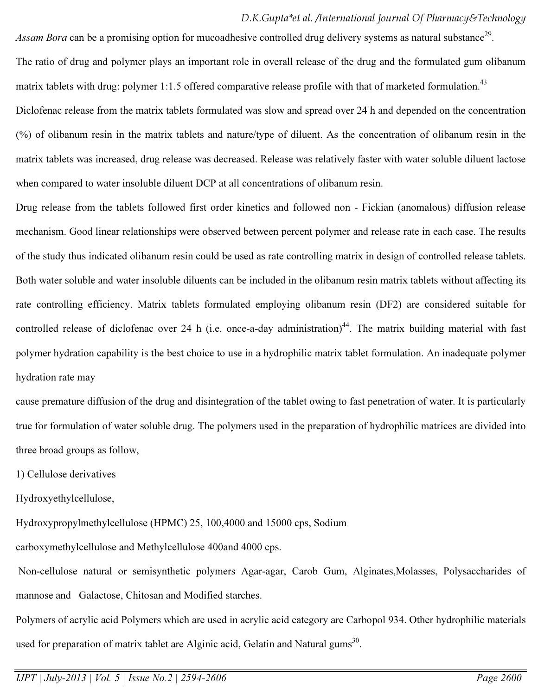Assam Bora can be a promising option for mucoadhesive controlled drug delivery systems as natural substance<sup>29</sup>. The ratio of drug and polymer plays an important role in overall release of the drug and the formulated gum olibanum matrix tablets with drug: polymer 1:1.5 offered comparative release profile with that of marketed formulation.<sup>43</sup> Diclofenac release from the matrix tablets formulated was slow and spread over 24 h and depended on the concentration (%) of olibanum resin in the matrix tablets and nature/type of diluent. As the concentration of olibanum resin in the matrix tablets was increased, drug release was decreased. Release was relatively faster with water soluble diluent lactose when compared to water insoluble diluent DCP at all concentrations of olibanum resin.

Drug release from the tablets followed first order kinetics and followed non - Fickian (anomalous) diffusion release mechanism. Good linear relationships were observed between percent polymer and release rate in each case. The results of the study thus indicated olibanum resin could be used as rate controlling matrix in design of controlled release tablets. Both water soluble and water insoluble diluents can be included in the olibanum resin matrix tablets without affecting its rate controlling efficiency. Matrix tablets formulated employing olibanum resin (DF2) are considered suitable for controlled release of diclofenac over 24 h (i.e. once-a-day administration)<sup>44</sup>. The matrix building material with fast polymer hydration capability is the best choice to use in a hydrophilic matrix tablet formulation. An inadequate polymer hydration rate may

cause premature diffusion of the drug and disintegration of the tablet owing to fast penetration of water. It is particularly true for formulation of water soluble drug. The polymers used in the preparation of hydrophilic matrices are divided into three broad groups as follow,

1) Cellulose derivatives

Hydroxyethylcellulose,

Hydroxypropylmethylcellulose (HPMC) 25, 100,4000 and 15000 cps, Sodium

carboxymethylcellulose and Methylcellulose 400and 4000 cps.

 Non-cellulose natural or semisynthetic polymers Agar-agar, Carob Gum, Alginates,Molasses, Polysaccharides of mannose and Galactose, Chitosan and Modified starches.

Polymers of acrylic acid Polymers which are used in acrylic acid category are Carbopol 934. Other hydrophilic materials used for preparation of matrix tablet are Alginic acid, Gelatin and Natural gums<sup>30</sup>.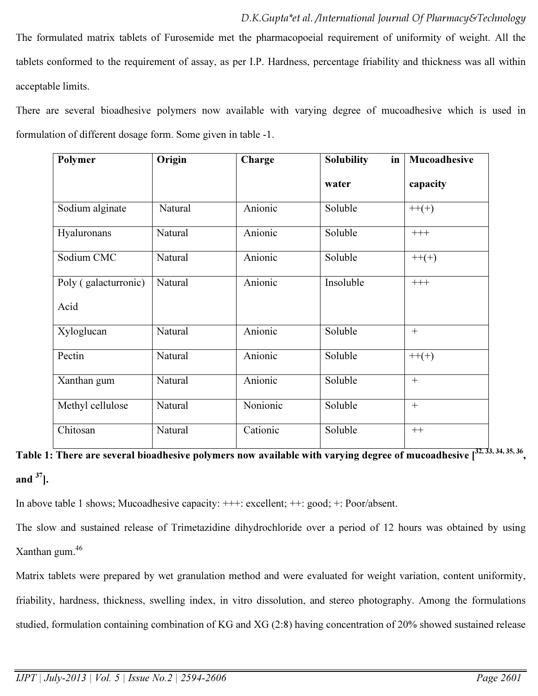The formulated matrix tablets of Furosemide met the pharmacopoeial requirement of uniformity of weight. All the tablets conformed to the requirement of assay, as per I.P. Hardness, percentage friability and thickness was all within acceptable limits.

There are several bioadhesive polymers now available with varying degree of mucoadhesive which is used in formulation of different dosage form. Some given in table -1.

| Polymer              | Origin  | Charge   | <b>Solubility</b><br>in | Mucoadhesive |
|----------------------|---------|----------|-------------------------|--------------|
|                      |         |          | water                   | capacity     |
| Sodium alginate      | Natural | Anionic  | Soluble                 | $++(+)$      |
| Hyaluronans          | Natural | Anionic  | Soluble                 | $+++$        |
| Sodium CMC           | Natural | Anionic  | Soluble                 | $++(+)$      |
| Poly (galacturronic) | Natural | Anionic  | Insoluble               | $+++$        |
| Acid                 |         |          |                         |              |
| Xyloglucan           | Natural | Anionic  | Soluble                 | $+$          |
| Pectin               | Natural | Anionic  | Soluble                 | $++(+)$      |
| Xanthan gum          | Natural | Anionic  | Soluble                 | $^{+}$       |
| Methyl cellulose     | Natural | Nonionic | Soluble                 | $\ddot{}$    |
| Chitosan             | Natural | Cationic | Soluble                 | $++$         |

Table 1: There are several bioadhesive polymers now available with varying degree of mucoadhesive [32, 33, 34, 35, 36, and  $37$ ].

In above table 1 shows; Mucoadhesive capacity: +++: excellent; ++: good; +: Poor/absent.

The slow and sustained release of Trimetazidine dihydrochloride over a period of 12 hours was obtained by using Xanthan gum.<sup>46</sup>

Matrix tablets were prepared by wet granulation method and were evaluated for weight variation, content uniformity, friability, hardness, thickness, swelling index, in vitro dissolution, and stereo photography. Among the formulations studied, formulation containing combination of KG and XG (2:8) having concentration of 20% showed sustained release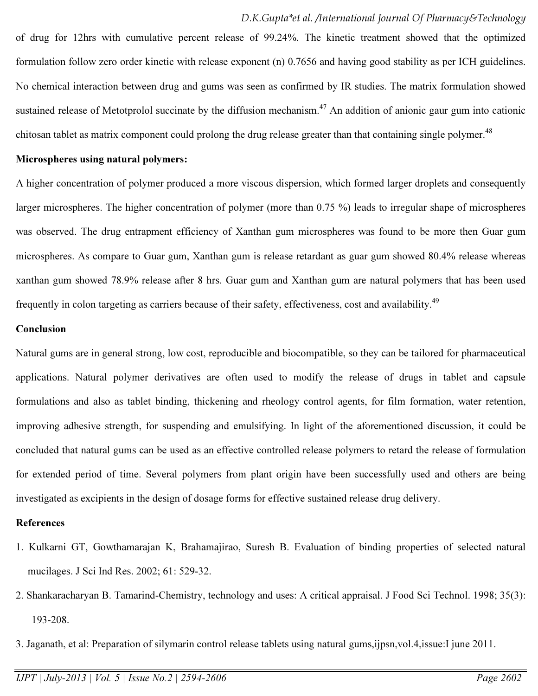of drug for 12hrs with cumulative percent release of 99.24%. The kinetic treatment showed that the optimized formulation follow zero order kinetic with release exponent (n) 0.7656 and having good stability as per ICH guidelines. No chemical interaction between drug and gums was seen as confirmed by IR studies. The matrix formulation showed sustained release of Metotprolol succinate by the diffusion mechanism.<sup>47</sup> An addition of anionic gaur gum into cationic chitosan tablet as matrix component could prolong the drug release greater than that containing single polymer.<sup>48</sup>

### Microspheres using natural polymers:

A higher concentration of polymer produced a more viscous dispersion, which formed larger droplets and consequently larger microspheres. The higher concentration of polymer (more than 0.75 %) leads to irregular shape of microspheres was observed. The drug entrapment efficiency of Xanthan gum microspheres was found to be more then Guar gum microspheres. As compare to Guar gum, Xanthan gum is release retardant as guar gum showed 80.4% release whereas xanthan gum showed 78.9% release after 8 hrs. Guar gum and Xanthan gum are natural polymers that has been used frequently in colon targeting as carriers because of their safety, effectiveness, cost and availability.<sup>49</sup>

### Conclusion

Natural gums are in general strong, low cost, reproducible and biocompatible, so they can be tailored for pharmaceutical applications. Natural polymer derivatives are often used to modify the release of drugs in tablet and capsule formulations and also as tablet binding, thickening and rheology control agents, for film formation, water retention, improving adhesive strength, for suspending and emulsifying. In light of the aforementioned discussion, it could be concluded that natural gums can be used as an effective controlled release polymers to retard the release of formulation for extended period of time. Several polymers from plant origin have been successfully used and others are being investigated as excipients in the design of dosage forms for effective sustained release drug delivery.

### **References**

- 1. Kulkarni GT, Gowthamarajan K, Brahamajirao, Suresh B. Evaluation of binding properties of selected natural mucilages. J Sci Ind Res. 2002; 61: 529-32.
- 2. Shankaracharyan B. Tamarind-Chemistry, technology and uses: A critical appraisal. J Food Sci Technol. 1998; 35(3): 193-208.
- 3. Jaganath, et al: Preparation of silymarin control release tablets using natural gums,ijpsn,vol.4,issue:I june 2011.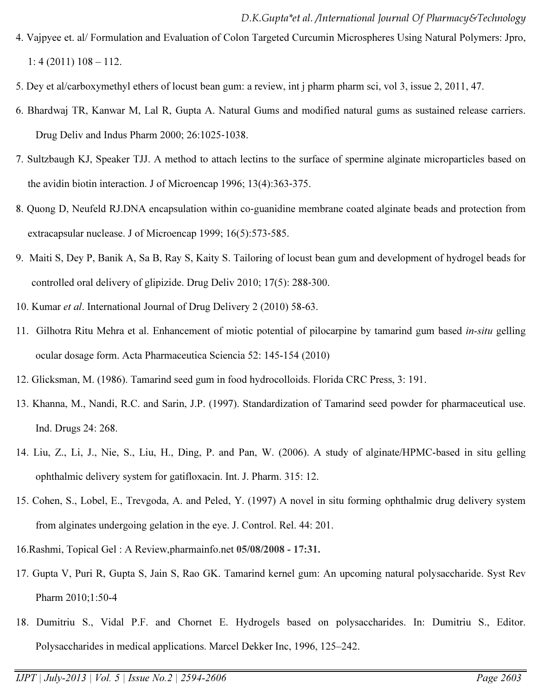- 4. Vajpyee et. al/ Formulation and Evaluation of Colon Targeted Curcumin Microspheres Using Natural Polymers: Jpro, 1: 4 (2011) 108 – 112.
- 5. Dey et al/carboxymethyl ethers of locust bean gum: a review, int j pharm pharm sci, vol 3, issue 2, 2011, 47.
- 6. Bhardwaj TR, Kanwar M, Lal R, Gupta A. Natural Gums and modified natural gums as sustained release carriers. Drug Deliv and Indus Pharm 2000; 26:1025‐1038.
- 7. Sultzbaugh KJ, Speaker TJJ. A method to attach lectins to the surface of spermine alginate microparticles based on the avidin biotin interaction. J of Microencap 1996; 13(4):363‐375.
- 8. Quong D, Neufeld RJ.DNA encapsulation within co-guanidine membrane coated alginate beads and protection from extracapsular nuclease. J of Microencap 1999; 16(5):573‐585.
- 9. Maiti S, Dey P, Banik A, Sa B, Ray S, Kaity S. Tailoring of locust bean gum and development of hydrogel beads for controlled oral delivery of glipizide. Drug Deliv 2010; 17(5): 288‐300.
- 10. Kumar *et al*. International Journal of Drug Delivery 2 (2010) 58-63.
- 11. Gilhotra Ritu Mehra et al. Enhancement of miotic potential of pilocarpine by tamarind gum based *in-situ* gelling ocular dosage form. Acta Pharmaceutica Sciencia 52: 145-154 (2010)
- 12. Glicksman, M. (1986). Tamarind seed gum in food hydrocolloids. Florida CRC Press, 3: 191.
- 13. Khanna, M., Nandi, R.C. and Sarin, J.P. (1997). Standardization of Tamarind seed powder for pharmaceutical use. Ind. Drugs 24: 268.
- 14. Liu, Z., Li, J., Nie, S., Liu, H., Ding, P. and Pan, W. (2006). A study of alginate/HPMC-based in situ gelling ophthalmic delivery system for gatifloxacin. Int. J. Pharm. 315: 12.
- 15. Cohen, S., Lobel, E., Trevgoda, A. and Peled, Y. (1997) A novel in situ forming ophthalmic drug delivery system from alginates undergoing gelation in the eye. J. Control. Rel. 44: 201.
- 16.Rashmi, Topical Gel : A Review,pharmainfo.net 05/08/2008 17:31.
- 17. Gupta V, Puri R, Gupta S, Jain S, Rao GK. Tamarind kernel gum: An upcoming natural polysaccharide. Syst Rev Pharm 2010;1:50-4
- 18. Dumitriu S., Vidal P.F. and Chornet E. Hydrogels based on polysaccharides. In: Dumitriu S., Editor. Polysaccharides in medical applications. Marcel Dekker Inc, 1996, 125–242.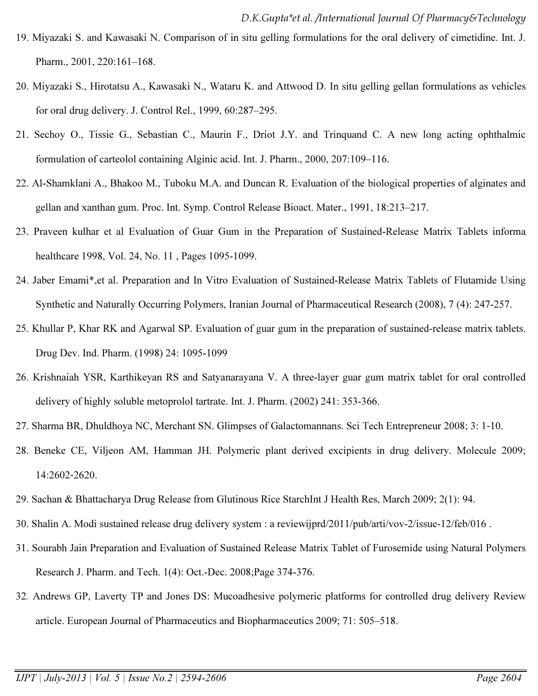- 19. Miyazaki S. and Kawasaki N. Comparison of in situ gelling formulations for the oral delivery of cimetidine. Int. J. Pharm., 2001, 220:161–168.
- 20. Miyazaki S., Hirotatsu A., Kawasaki N., Wataru K. and Attwood D. In situ gelling gellan formulations as vehicles for oral drug delivery. J. Control Rel., 1999, 60:287–295.
- 21. Sechoy O., Tissie G., Sebastian C., Maurin F., Driot J.Y. and Trinquand C. A new long acting ophthalmic formulation of carteolol containing Alginic acid. Int. J. Pharm., 2000, 207:109–116.
- 22. Al-Shamklani A., Bhakoo M., Tuboku M.A. and Duncan R. Evaluation of the biological properties of alginates and gellan and xanthan gum. Proc. Int. Symp. Control Release Bioact. Mater., 1991, 18:213–217.
- 23. Praveen kulhar et al Evaluation of Guar Gum in the Preparation of Sustained-Release Matrix Tablets informa healthcare 1998, Vol. 24, No. 11 , Pages 1095-1099.
- 24. Jaber Emami\*,et al. Preparation and In Vitro Evaluation of Sustained-Release Matrix Tablets of Flutamide Using Synthetic and Naturally Occurring Polymers, Iranian Journal of Pharmaceutical Research (2008), 7 (4): 247-257.
- 25. Khullar P, Khar RK and Agarwal SP. Evaluation of guar gum in the preparation of sustained-release matrix tablets. Drug Dev. Ind. Pharm. (1998) 24: 1095-1099
- 26. Krishnaiah YSR, Karthikeyan RS and Satyanarayana V. A three-layer guar gum matrix tablet for oral controlled delivery of highly soluble metoprolol tartrate. Int. J. Pharm. (2002) 241: 353-366.
- 27. Sharma BR, Dhuldhoya NC, Merchant SN. Glimpses of Galactomannans. Sci Tech Entrepreneur 2008; 3: 1‐10.
- 28. Beneke CE, Viljeon AM, Hamman JH. Polymeric plant derived excipients in drug delivery. Molecule 2009; 14:2602‐2620.
- 29. Sachan & Bhattacharya Drug Release from Glutinous Rice StarchInt J Health Res, March 2009; 2(1): 94.
- 30. Shalin A. Modi sustained release drug delivery system : a reviewijprd/2011/pub/arti/vov-2/issue-12/feb/016 .
- 31. Sourabh Jain Preparation and Evaluation of Sustained Release Matrix Tablet of Furosemide using Natural Polymers Research J. Pharm. and Tech. 1(4): Oct.-Dec. 2008;Page 374-376.
- 32*.* Andrews GP, Laverty TP and Jones DS: Mucoadhesive polymeric platforms for controlled drug delivery Review article. European Journal of Pharmaceutics and Biopharmaceutics 2009; 71: 505–518.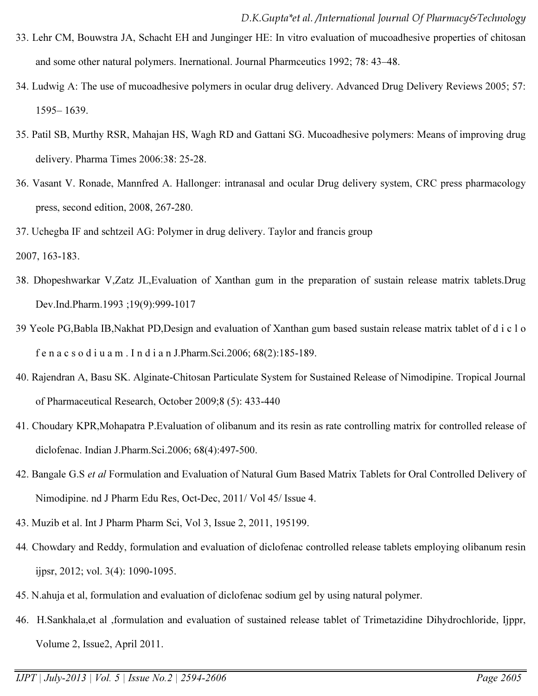- 33. Lehr CM, Bouwstra JA, Schacht EH and Junginger HE: In vitro evaluation of mucoadhesive properties of chitosan and some other natural polymers. Inernational. Journal Pharmceutics 1992; 78: 43–48.
- 34. Ludwig A: The use of mucoadhesive polymers in ocular drug delivery. Advanced Drug Delivery Reviews 2005; 57: 1595– 1639.
- 35. Patil SB, Murthy RSR, Mahajan HS, Wagh RD and Gattani SG. Mucoadhesive polymers: Means of improving drug delivery. Pharma Times 2006:38: 25-28.
- 36. Vasant V. Ronade, Mannfred A. Hallonger: intranasal and ocular Drug delivery system, CRC press pharmacology press, second edition, 2008, 267-280.
- 37. Uchegba IF and schtzeil AG: Polymer in drug delivery. Taylor and francis group
- 2007, 163-183.
- 38. Dhopeshwarkar V,Zatz JL,Evaluation of Xanthan gum in the preparation of sustain release matrix tablets.Drug Dev.Ind.Pharm.1993 ;19(9):999-1017
- 39 Yeole PG,Babla IB,Nakhat PD,Design and evaluation of Xanthan gum based sustain release matrix tablet of d i c l o f e n a c s o d i u a m . I n d i a n J.Pharm.Sci.2006; 68(2):185-189.
- 40. Rajendran A, Basu SK. Alginate-Chitosan Particulate System for Sustained Release of Nimodipine. Tropical Journal of Pharmaceutical Research, October 2009;8 (5): 433-440
- 41. Choudary KPR,Mohapatra P.Evaluation of olibanum and its resin as rate controlling matrix for controlled release of diclofenac. Indian J.Pharm.Sci.2006; 68(4):497-500.
- 42. Bangale G.S *et al* Formulation and Evaluation of Natural Gum Based Matrix Tablets for Oral Controlled Delivery of Nimodipine. nd J Pharm Edu Res, Oct-Dec, 2011/ Vol 45/ Issue 4.
- 43. Muzib et al. Int J Pharm Pharm Sci, Vol 3, Issue 2, 2011, 195199.
- 44*.* Chowdary and Reddy, formulation and evaluation of diclofenac controlled release tablets employing olibanum resin ijpsr, 2012; vol. 3(4): 1090-1095.
- 45. N.ahuja et al, formulation and evaluation of diclofenac sodium gel by using natural polymer.
- 46. H.Sankhala,et al ,formulation and evaluation of sustained release tablet of Trimetazidine Dihydrochloride, Ijppr, Volume 2, Issue2, April 2011.